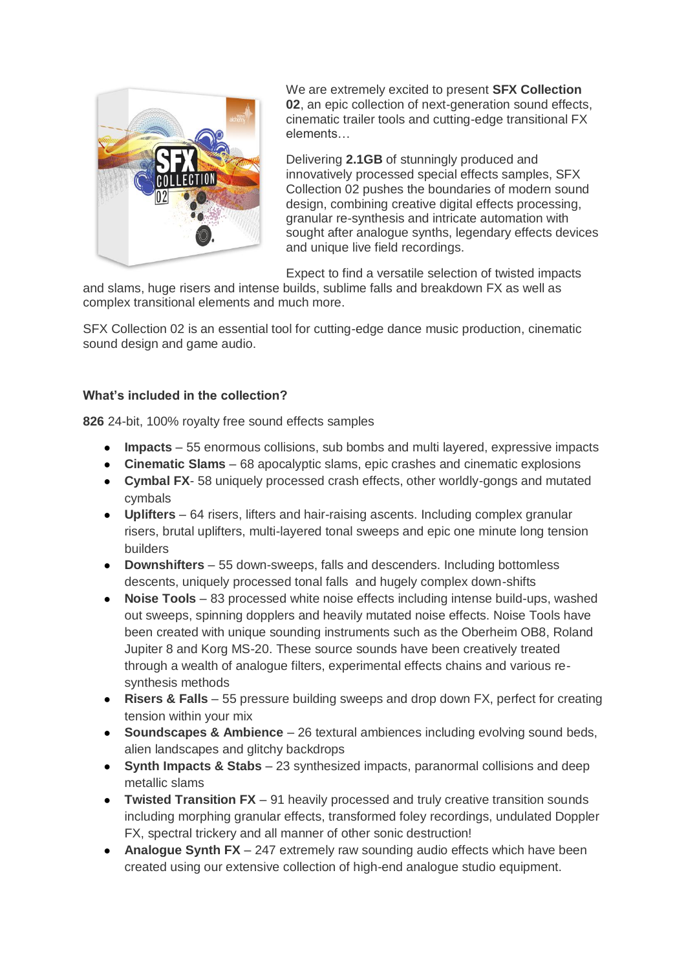

We are extremely excited to present **SFX Collection 02**, an epic collection of next-generation sound effects, cinematic trailer tools and cutting-edge transitional FX elements…

Delivering **2.1GB** of stunningly produced and innovatively processed special effects samples, SFX Collection 02 pushes the boundaries of modern sound design, combining creative digital effects processing, granular re-synthesis and intricate automation with sought after analogue synths, legendary effects devices and unique live field recordings.

Expect to find a versatile selection of twisted impacts

and slams, huge risers and intense builds, sublime falls and breakdown FX as well as complex transitional elements and much more.

SFX Collection 02 is an essential tool for cutting-edge dance music production, cinematic sound design and game audio.

#### **What's included in the collection?**

**826** 24-bit, 100% royalty free sound effects samples

- **Impacts** 55 enormous collisions, sub bombs and multi layered, expressive impacts
- **Cinematic Slams** 68 apocalyptic slams, epic crashes and cinematic explosions
- **Cymbal FX** 58 uniquely processed crash effects, other worldly-gongs and mutated cymbals
- **Uplifters** 64 risers, lifters and hair-raising ascents. Including complex granular risers, brutal uplifters, multi-layered tonal sweeps and epic one minute long tension builders
- **Downshifters** 55 down-sweeps, falls and descenders. Including bottomless descents, uniquely processed tonal falls and hugely complex down-shifts
- **Noise Tools** 83 processed white noise effects including intense build-ups, washed out sweeps, spinning dopplers and heavily mutated noise effects. Noise Tools have been created with unique sounding instruments such as the Oberheim OB8, Roland Jupiter 8 and Korg MS-20. These source sounds have been creatively treated through a wealth of analogue filters, experimental effects chains and various resynthesis methods
- **Risers & Falls** 55 pressure building sweeps and drop down FX, perfect for creating tension within your mix
- **Soundscapes & Ambience** 26 textural ambiences including evolving sound beds, alien landscapes and glitchy backdrops
- **Synth Impacts & Stabs** 23 synthesized impacts, paranormal collisions and deep metallic slams
- **Twisted Transition FX** 91 heavily processed and truly creative transition sounds including morphing granular effects, transformed foley recordings, undulated Doppler FX, spectral trickery and all manner of other sonic destruction!
- **Analogue Synth FX** 247 extremely raw sounding audio effects which have been created using our extensive collection of high-end analogue studio equipment.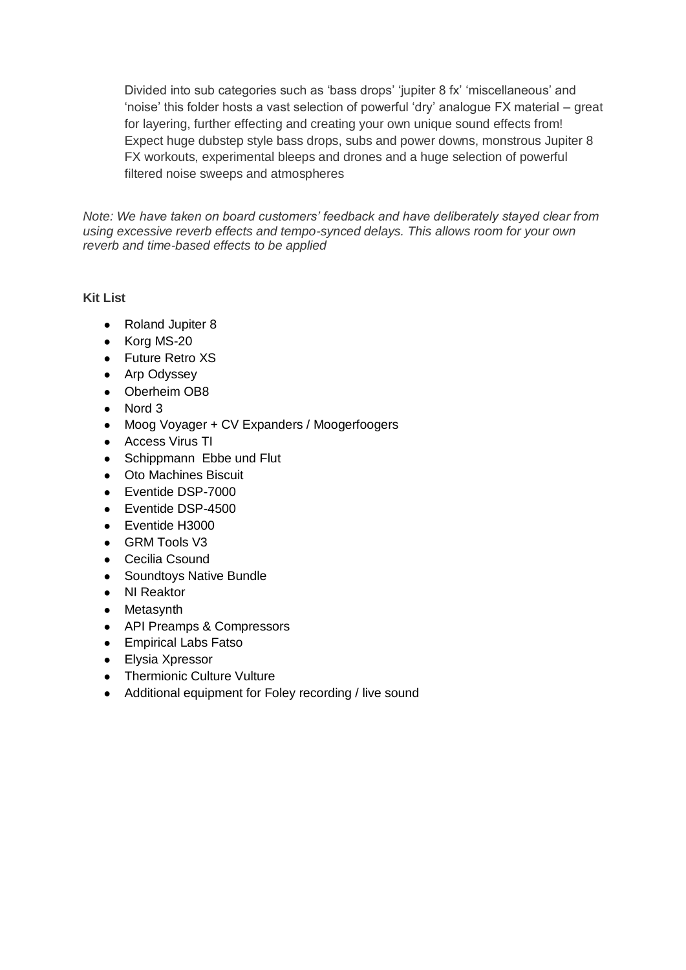Divided into sub categories such as 'bass drops' 'jupiter 8 fx' 'miscellaneous' and 'noise' this folder hosts a vast selection of powerful 'dry' analogue FX material – great for layering, further effecting and creating your own unique sound effects from! Expect huge dubstep style bass drops, subs and power downs, monstrous Jupiter 8 FX workouts, experimental bleeps and drones and a huge selection of powerful filtered noise sweeps and atmospheres

*Note: We have taken on board customers' feedback and have deliberately stayed clear from using excessive reverb effects and tempo-synced delays. This allows room for your own reverb and time-based effects to be applied*

#### **Kit List**

- Roland Jupiter 8
- Korg MS-20
- Future Retro XS
- Arp Odyssey
- Oberheim OB8
- Nord 3
- Moog Voyager + CV Expanders / Moogerfoogers
- Access Virus TI
- Schippmann Ebbe und Flut
- Oto Machines Biscuit
- Eventide DSP-7000
- Eventide DSP-4500
- Eventide H3000
- GRM Tools V3
- Cecilia Csound
- Soundtoys Native Bundle
- NI Reaktor
- Metasynth
- API Preamps & Compressors
- Empirical Labs Fatso
- Elysia Xpressor
- Thermionic Culture Vulture
- Additional equipment for Foley recording / live sound